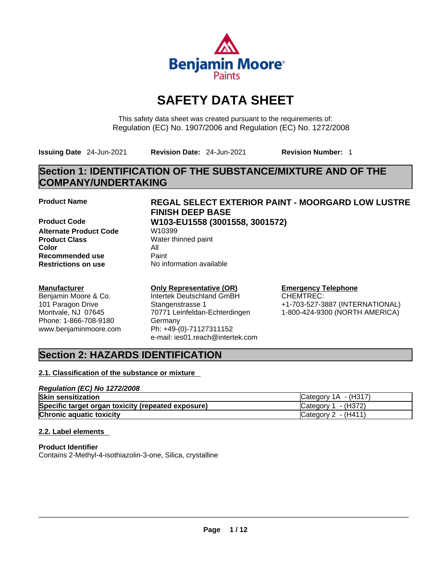

# **SAFETY DATA SHEET**

This safety data sheet was created pursuant to the requirements of: Regulation (EC) No. 1907/2006 and Regulation (EC) No. 1272/2008

**Issuing Date** 24-Jun-2021 **Revision Date:** 24-Jun-2021 **Revision Number:** 1

# **Section 1: IDENTIFICATION OF THE SUBSTANCE/MIXTURE AND OF THE COMPANY/UNDERTAKING**

**Product Code W103-EU1558 (3001558, 3001572) Alternate Product Code W10399 Product Class** Water thinned paint **Color** All **Recommended use** Paint<br> **Restrictions on use** Mo information available **Restrictions** on use

## **Manufacturer**

Benjamin Moore & Co. 101 Paragon Drive Montvale, NJ 07645 Phone: 1-866-708-9180 www.benjaminmoore.com

# **Product Name REGAL SELECT EXTERIOR PAINT - MOORGARD LOW LUSTRE FINISH DEEP BASE**

### **Only Representative (OR)** Intertek Deutschland GmBH

Stangenstrasse 1 70771 Leinfeldan-Echterdingen Germany Ph: +49-(0)-71127311152 e-mail: ies01.reach@intertek.com

### **Emergency Telephone** CHEMTREC:

+1-703-527-3887 (INTERNATIONAL) 1-800-424-9300 (NORTH AMERICA)

# **Section 2: HAZARDS IDENTIFICATION**

## **2.1. Classification of the substance or mixture**

### *Regulation (EC) No 1272/2008* **Skin sensitization** Category 1A - (H317) **Specific target organ toxicity (repeated exposure) Category 1 - (H372) Chronic aquatic toxicity** Chronic aquatic toxicity Category 2 - (H411)

## **2.2. Label elements**

**Product Identifier** Contains 2-Methyl-4-isothiazolin-3-one, Silica, crystalline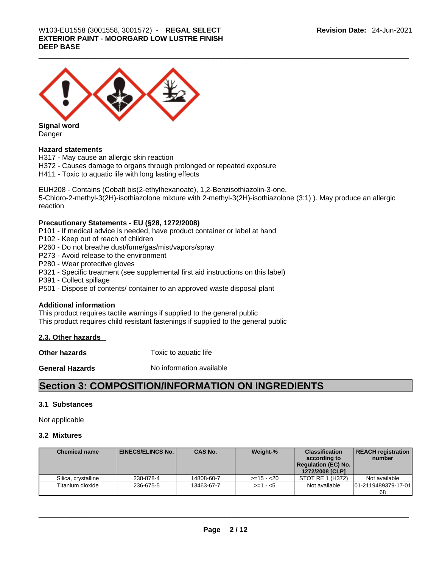

**Signal word** Danger

### **Hazard statements**

H317 - May cause an allergic skin reaction H372 - Causes damage to organs through prolonged or repeated exposure H411 - Toxic to aquatic life with long lasting effects

EUH208 - Contains (Cobalt bis(2-ethylhexanoate), 1,2-Benzisothiazolin-3-one, 5-Chloro-2-methyl-3(2H)-isothiazolone mixture with 2-methyl-3(2H)-isothiazolone (3:1) ). May produce an allergic reaction

### **Precautionary Statements - EU (§28, 1272/2008)**

P101 - If medical advice is needed, have product container or label at hand

- P102 Keep out of reach of children
- P260 Do not breathe dust/fume/gas/mist/vapors/spray
- P273 Avoid release to the environment
- P280 Wear protective gloves
- P321 Specific treatment (see supplemental first aid instructions on this label)
- P391 Collect spillage
- P501 Dispose of contents/ container to an approved waste disposal plant

### **Additional information**

This product requires tactile warnings if supplied to the general public This product requires child resistant fastenings if supplied to the general public

### **2.3. Other hazards**

**Other hazards Toxic to aquatic life** 

**General Hazards** No information available

# **Section 3: COMPOSITION/INFORMATION ON INGREDIENTS**

### **3.1 Substances**

Not applicable

### **3.2 Mixtures**

| <b>Chemical name</b> | <b>EINECS/ELINCS No. I</b> | <b>CAS No.</b> | Weight-%      | <b>Classification</b><br>according to<br><b>Regulation (EC) No.</b><br>1272/2008 [CLP] | <b>REACH registration</b><br>number |
|----------------------|----------------------------|----------------|---------------|----------------------------------------------------------------------------------------|-------------------------------------|
| Silica, crystalline  | 238-878-4                  | 14808-60-7     | $> = 15 - 20$ | STOT RE 1 (H372)                                                                       | Not available                       |
| Titanium dioxide     | 236-675-5                  | 13463-67-7     | $>= 1 - 5$    | Not available                                                                          | 101-2119489379-17-011<br>68         |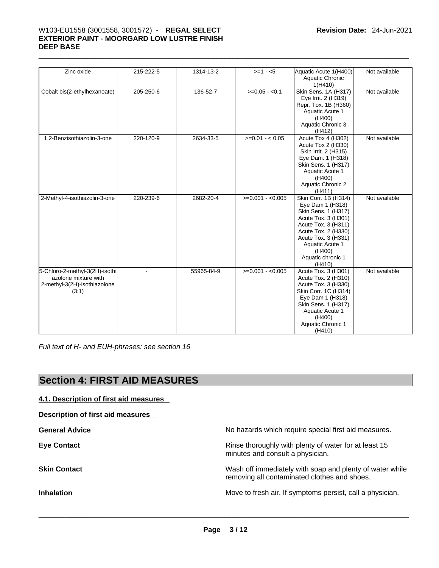# \_\_\_\_\_\_\_\_\_\_\_\_\_\_\_\_\_\_\_\_\_\_\_\_\_\_\_\_\_\_\_\_\_\_\_\_\_\_\_\_\_\_\_\_\_\_\_\_\_\_\_\_\_\_\_\_\_\_\_\_\_\_\_\_\_\_\_\_\_\_\_\_\_\_\_\_\_\_\_\_\_\_\_\_\_\_\_\_\_\_\_\_\_ W103-EU1558 (3001558, 3001572) - **REGAL SELECT EXTERIOR PAINT - MOORGARD LOW LUSTRE FINISH DEEP BASE**

| Zinc oxide                                                                                      | 215-222-5      | 1314-13-2  | $>= 1 - 5$        | Aquatic Acute 1(H400)<br>Aquatic Chronic<br>1(H410)                                                                                                                                                                     | Not available |
|-------------------------------------------------------------------------------------------------|----------------|------------|-------------------|-------------------------------------------------------------------------------------------------------------------------------------------------------------------------------------------------------------------------|---------------|
| Cobalt bis(2-ethylhexanoate)                                                                    | 205-250-6      | 136-52-7   | $>=0.05 - 0.1$    | <b>Skin Sens. 1A (H317)</b><br>Eye Irrit. 2 (H319)<br>Repr. Tox. 1B (H360)<br>Aquatic Acute 1<br>(H400)<br>Aquatic Chronic 3<br>(H412)                                                                                  | Not available |
| 1,2-Benzisothiazolin-3-one                                                                      | 220-120-9      | 2634-33-5  | $>=0.01 - 0.05$   | Acute Tox 4 (H302)<br>Acute Tox 2 (H330)<br>Skin Irrit. 2 (H315)<br>Eye Dam. 1 (H318)<br>Skin Sens. 1 (H317)<br>Aquatic Acute 1<br>(H400)<br>Aquatic Chronic 2<br>(H411)                                                | Not available |
| 2-Methyl-4-isothiazolin-3-one                                                                   | 220-239-6      | 2682-20-4  | $>=0.001 - 0.005$ | Skin Corr. 1B (H314)<br>Eye Dam 1 (H318)<br>Skin Sens. 1 (H317)<br>Acute Tox. 3 (H301)<br>Acute Tox. 3 (H311)<br>Acute Tox. 2 (H330)<br>Acute Tox. 3 (H331)<br>Aquatic Acute 1<br>(H400)<br>Aquatic chronic 1<br>(H410) | Not available |
| 5-Chloro-2-methyl-3(2H)-isothi<br>azolone mixture with<br>2-methyl-3(2H)-isothiazolone<br>(3:1) | $\overline{a}$ | 55965-84-9 | $>=0.001 - 0.005$ | Acute Tox. 3 (H301)<br>Acute Tox. 2 (H310)<br>Acute Tox. 3 (H330)<br>Skin Corr. 1C (H314)<br>Eye Dam 1 (H318)<br>Skin Sens. 1 (H317)<br>Aquatic Acute 1<br>(H400)<br>Aquatic Chronic 1<br>(H410)                        | Not available |

*Full text of H- and EUH-phrases: see section 16* 

# **Section 4: FIRST AID MEASURES**

| Description of first aid measures<br>No hazards which require special first aid measures.<br><b>General Advice</b><br>Rinse thoroughly with plenty of water for at least 15<br><b>Eye Contact</b><br>minutes and consult a physician.<br>Wash off immediately with soap and plenty of water while<br><b>Skin Contact</b><br>removing all contaminated clothes and shoes.<br>Move to fresh air. If symptoms persist, call a physician.<br><b>Inhalation</b> | 4.1. Description of first aid measures |  |
|------------------------------------------------------------------------------------------------------------------------------------------------------------------------------------------------------------------------------------------------------------------------------------------------------------------------------------------------------------------------------------------------------------------------------------------------------------|----------------------------------------|--|
|                                                                                                                                                                                                                                                                                                                                                                                                                                                            |                                        |  |
|                                                                                                                                                                                                                                                                                                                                                                                                                                                            |                                        |  |
|                                                                                                                                                                                                                                                                                                                                                                                                                                                            |                                        |  |
|                                                                                                                                                                                                                                                                                                                                                                                                                                                            |                                        |  |
|                                                                                                                                                                                                                                                                                                                                                                                                                                                            |                                        |  |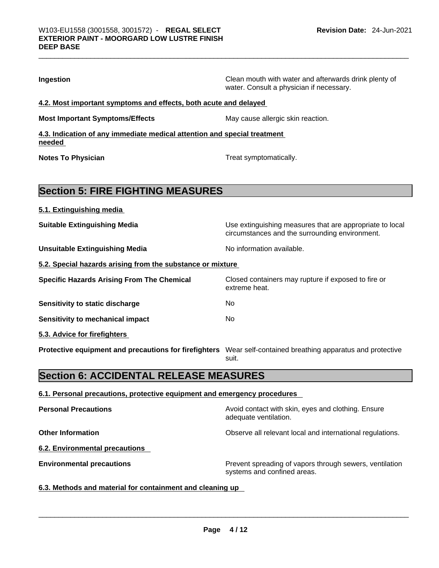| Ingestion                                                                                                    | Clean mouth with water and afterwards drink plenty of<br>water. Consult a physician if necessary.          |
|--------------------------------------------------------------------------------------------------------------|------------------------------------------------------------------------------------------------------------|
| 4.2. Most important symptoms and effects, both acute and delayed                                             |                                                                                                            |
| <b>Most Important Symptoms/Effects</b>                                                                       | May cause allergic skin reaction.                                                                          |
| 4.3. Indication of any immediate medical attention and special treatment<br>needed                           |                                                                                                            |
| <b>Notes To Physician</b>                                                                                    | Treat symptomatically.                                                                                     |
| <b>Section 5: FIRE FIGHTING MEASURES</b>                                                                     |                                                                                                            |
| 5.1. Extinguishing media                                                                                     |                                                                                                            |
| <b>Suitable Extinguishing Media</b>                                                                          | Use extinguishing measures that are appropriate to local<br>circumstances and the surrounding environment. |
| <b>Unsuitable Extinguishing Media</b>                                                                        | No information available.                                                                                  |
| 5.2. Special hazards arising from the substance or mixture                                                   |                                                                                                            |
| <b>Specific Hazards Arising From The Chemical</b>                                                            | Closed containers may rupture if exposed to fire or<br>extreme heat.                                       |
| Sensitivity to static discharge                                                                              | No.                                                                                                        |
| <b>Sensitivity to mechanical impact</b>                                                                      | No.                                                                                                        |
| 5.3. Advice for firefighters                                                                                 |                                                                                                            |
| Protective equipment and precautions for firefighters Wear self-contained breathing apparatus and protective | suit.                                                                                                      |
| <b>Section 6: ACCIDENTAL RELEASE MEASURES</b>                                                                |                                                                                                            |
| 6.1. Personal precautions, protective equipment and emergency procedures                                     |                                                                                                            |
| <b>Personal Precautions</b>                                                                                  | Avoid contact with skin, eyes and clothing. Ensure<br>adequate ventilation.                                |
| <b>Other Information</b>                                                                                     | Observe all relevant local and international regulations.                                                  |
| <b>6.2. Environmental precautions</b>                                                                        |                                                                                                            |
| <b>Environmental precautions</b>                                                                             | Prevent spreading of vapors through sewers, ventilation                                                    |

### **6.3. Methods and material for containment and cleaning up**

 $\_$  ,  $\_$  ,  $\_$  ,  $\_$  ,  $\_$  ,  $\_$  ,  $\_$  ,  $\_$  ,  $\_$  ,  $\_$  ,  $\_$  ,  $\_$  ,  $\_$  ,  $\_$  ,  $\_$  ,  $\_$  ,  $\_$  ,  $\_$  ,  $\_$  ,  $\_$  ,  $\_$  ,  $\_$  ,  $\_$  ,  $\_$  ,  $\_$  ,  $\_$  ,  $\_$  ,  $\_$  ,  $\_$  ,  $\_$  ,  $\_$  ,  $\_$  ,  $\_$  ,  $\_$  ,  $\_$  ,  $\_$  ,  $\_$  ,

systems and confined areas.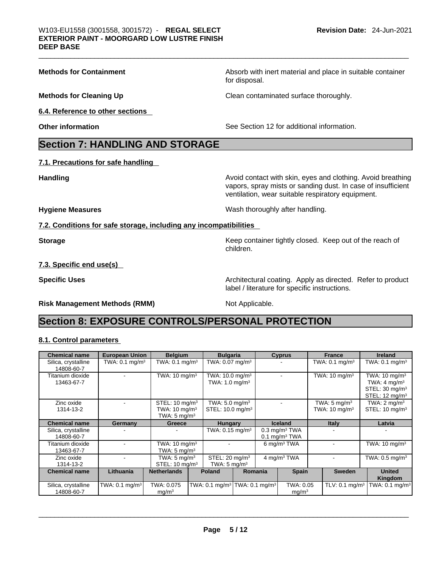| <b>Methods for Containment</b>                                    | Absorb with inert material and place in suitable container<br>for disposal.                                                                                                      |
|-------------------------------------------------------------------|----------------------------------------------------------------------------------------------------------------------------------------------------------------------------------|
| <b>Methods for Cleaning Up</b>                                    | Clean contaminated surface thoroughly.                                                                                                                                           |
| 6.4. Reference to other sections                                  |                                                                                                                                                                                  |
| <b>Other information</b>                                          | See Section 12 for additional information.                                                                                                                                       |
| <b>Section 7: HANDLING AND STORAGE</b>                            |                                                                                                                                                                                  |
| 7.1. Precautions for safe handling                                |                                                                                                                                                                                  |
| <b>Handling</b>                                                   | Avoid contact with skin, eyes and clothing. Avoid breathing<br>vapors, spray mists or sanding dust. In case of insufficient<br>ventilation, wear suitable respiratory equipment. |
| <b>Hygiene Measures</b>                                           | Wash thoroughly after handling.                                                                                                                                                  |
| 7.2. Conditions for safe storage, including any incompatibilities |                                                                                                                                                                                  |
| <b>Storage</b>                                                    | Keep container tightly closed. Keep out of the reach of<br>children.                                                                                                             |
| 7.3. Specific end use(s)                                          |                                                                                                                                                                                  |
| <b>Specific Uses</b>                                              | Architectural coating. Apply as directed. Refer to product<br>label / literature for specific instructions.                                                                      |
| <b>Risk Management Methods (RMM)</b>                              | Not Applicable.                                                                                                                                                                  |
| <b>Section 8: EXPOSURE CONTROLS/PERSONAL PROTECTION</b>           |                                                                                                                                                                                  |
| 8.1. Control parameters                                           |                                                                                                                                                                                  |
|                                                                   |                                                                                                                                                                                  |

| <b>Chemical name</b>              | <b>European Union</b>        | <b>Belgium</b>                  | <b>Bulgaria</b>                                         |         | <b>Cyprus</b>                  | <b>France</b>                | <b>Ireland</b>                                          |
|-----------------------------------|------------------------------|---------------------------------|---------------------------------------------------------|---------|--------------------------------|------------------------------|---------------------------------------------------------|
| Silica, crystalline<br>14808-60-7 | TWA: $0.1$ mg/m <sup>3</sup> | TWA: $0.1$ mg/m <sup>3</sup>    | TWA: $0.07$ mg/m <sup>3</sup>                           |         |                                | TWA: $0.1 \text{ mg/m}^3$    | TWA: $0.1 \text{ mg/m}^3$                               |
| Titanium dioxide                  |                              | TWA: $10 \text{ mg/m}^3$        | TWA: $10.0$ mg/m <sup>3</sup>                           |         |                                | TWA: $10 \text{ mg/m}^3$     | TWA: $10 \text{ mg/m}^3$                                |
| 13463-67-7                        |                              |                                 | TWA: $1.0$ mg/m <sup>3</sup>                            |         |                                |                              | TWA: $4 \text{ mg/m}^3$                                 |
|                                   |                              |                                 |                                                         |         |                                |                              | STEL: 30 mg/m <sup>3</sup><br>STEL: $12 \text{ mq/m}^3$ |
| Zinc oxide                        |                              | STEL: $10 \text{ mg/m}^3$       | TWA: $5.0$ mg/m <sup>3</sup>                            |         |                                | TWA: $5 \text{ mg/m}^3$      | TWA: $2 \text{ mq/m}^3$                                 |
| 1314-13-2                         |                              | TWA: $10 \text{ mg/m}^3$        | STEL: 10.0 mg/m <sup>3</sup>                            |         |                                | TWA: $10 \text{ mg/m}^3$     | STEL: 10 mg/m <sup>3</sup>                              |
|                                   |                              | TWA: $5 \text{ mg/m}^3$         |                                                         |         |                                |                              |                                                         |
| <b>Chemical name</b>              | Germany                      | Greece                          | <b>Hungary</b>                                          |         | <b>Iceland</b>                 | <b>Italy</b>                 | Latvia                                                  |
| Silica, crystalline               |                              |                                 | TWA: $0.15 \text{ mg/m}^3$                              |         | $0.3 \text{ mg/m}^3$ TWA       |                              |                                                         |
| 14808-60-7                        |                              |                                 |                                                         |         | $0.1 \text{ mg/m}^3$ TWA       |                              |                                                         |
| Titanium dioxide                  |                              | TWA: $10 \text{ mg/m}^3$        |                                                         |         | 6 mg/m $3$ TWA                 |                              | TWA: $10 \text{ mg/m}^3$                                |
| 13463-67-7                        |                              | TWA: $5 \text{ mg/m}^3$         |                                                         |         |                                |                              |                                                         |
| Zinc oxide                        |                              | TWA: $5 \text{ mg/m}^3$         | STEL: 20 mg/m <sup>3</sup>                              |         | 4 mg/m <sup>3</sup> TWA        |                              | TWA: $0.5$ mg/m <sup>3</sup>                            |
| 1314-13-2                         |                              | STEL: $10 \text{ mg/m}^3$       | TWA: $5 \text{ mg/m}^3$                                 |         |                                |                              |                                                         |
| <b>Chemical name</b>              | Lithuania                    | <b>Netherlands</b>              | <b>Poland</b>                                           | Romania | <b>Spain</b>                   | <b>Sweden</b>                | <b>United</b><br>Kingdom                                |
| Silica, crystalline<br>14808-60-7 | TWA: $0.1$ mg/m <sup>3</sup> | TWA: 0.075<br>mg/m <sup>3</sup> | TWA: 0.1 mg/m <sup>3</sup>   TWA: 0.1 mg/m <sup>3</sup> |         | TWA: 0.05<br>mg/m <sup>3</sup> | TLV: $0.1$ mg/m <sup>3</sup> | TWA: 0.1 mg/m $3$                                       |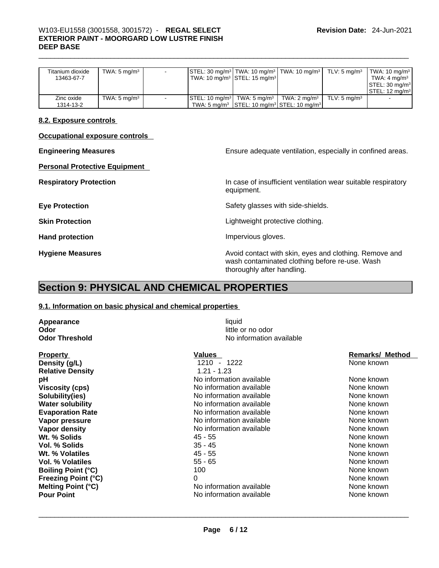# \_\_\_\_\_\_\_\_\_\_\_\_\_\_\_\_\_\_\_\_\_\_\_\_\_\_\_\_\_\_\_\_\_\_\_\_\_\_\_\_\_\_\_\_\_\_\_\_\_\_\_\_\_\_\_\_\_\_\_\_\_\_\_\_\_\_\_\_\_\_\_\_\_\_\_\_\_\_\_\_\_\_\_\_\_\_\_\_\_\_\_\_\_ W103-EU1558 (3001558, 3001572) - **REGAL SELECT EXTERIOR PAINT - MOORGARD LOW LUSTRE FINISH DEEP BASE**

| Titanium dioxide<br>13463-67-7 | TWA: $5 \text{ mg/m}^3$ | - | $\textsf{STEL}: 30 \text{ mg/m}^3 \textsf{TWA}: 10 \text{ mg/m}^3 \textsf{TWA}: 10 \text{ mg/m}^3 \textsf{T}$ | TLV: 5 ma/m $^3$        | TWA: 10 mg/m <sup>3</sup><br>TWA: $4 \text{ mg/m}^3$<br>$\textsf{ISTEL: } 30 \text{ mg/m}^3$<br>ISTEL: 12 ma/m <sup>3</sup> |
|--------------------------------|-------------------------|---|---------------------------------------------------------------------------------------------------------------|-------------------------|-----------------------------------------------------------------------------------------------------------------------------|
| Zinc oxide                     | TWA: $5 \text{ mg/m}^3$ |   | $\textsf{STEL}: 10 \text{ mg/m}^3$ TWA: 5 mg/m <sup>3</sup> $\textsf{TVMA}: 2 \text{ mg/m}^3$                 | TLV: $5 \text{ ma/m}^3$ |                                                                                                                             |
| 1314-13-2                      |                         |   | TWA: 5 mg/m <sup>3</sup> STEL: 10 mg/m <sup>3</sup> STEL: 10 mg/m <sup>3</sup>                                |                         |                                                                                                                             |

### **8.2. Exposure controls**

**Occupational exposure controls** 

**Personal Protective Equipment** 

**Engineering Measures** Ensure adequate ventilation, especially in confined areas.

**Respiratory Protection In case of insufficient ventilation wear suitable respiratory** equipment.

**Eye Protection Exercise 2 Safety glasses with side-shields.** 

**Skin Protection Contract Contract Contract Contract Contract Contract Contract Contract Contract Contract Contract Contract Contract Contract Contract Contract Contract Contract Contract Contract Contract Contract Contr** 

Hand protection **Impervious** gloves.

**Hygiene Measures Avoid contact with skin, eyes and clothing. Remove and Avoid contact with skin, eyes and clothing. Remove and** wash contaminated clothing before re-use. Wash thoroughly after handling.

# **Section 9: PHYSICAL AND CHEMICAL PROPERTIES**

### **9.1. Information on basic physical and chemical properties**

**Appearance** liquid **Odor** little or no odor

Property<br> **Property**<br> **Pensity (g/L)**<br> **Pensity (g/L)**<br> **Pensity (g/L)**<br> **Pensity (g/L)**<br> **Pensity (g/L) Relative Density Wt. % Volatiles** 45 - 55 **Vol. % Volatiles**  55 - 65 **Boiling Point (°C)** 100 **Freezing Point (°C)** 0

**No information available** 

**1210** - 1222<br>1.21 - 1.23 **pH No** information available **Viscosity (cps) Viscosity (cps) No** information available **Solubility(ies)**<br> **Water solubility**<br> **Water solubility**<br> **Water Solubility**<br> **No** information available **No information available Evaporation Rate No** information available **Vapor pressure Community Community Community Community Community Community Community Community Community Community Community Community Community Community Community Community Community Community Community Community Commun Vapor density No information available** None known available **Wt. % Solids** 45 - 55 None known **Vol. % Solids** 35 - 45 None known **Melting Point (°C)** No information available **Pour Point** No information available None known \_\_\_\_\_\_\_\_\_\_\_\_\_\_\_\_\_\_\_\_\_\_\_\_\_\_\_\_\_\_\_\_\_\_\_\_\_\_\_\_\_\_\_\_\_\_\_\_\_\_\_\_\_\_\_\_\_\_\_\_\_\_\_\_\_\_\_\_\_\_\_\_\_\_\_\_\_\_\_\_\_\_\_\_\_\_\_\_\_\_\_\_\_

| None | known      |
|------|------------|
|      | None known |
|      | None known |
|      | None known |
| None | known      |
|      | None known |
|      | None known |
|      | None known |
|      | None known |
|      | None known |
|      | None known |
|      | None known |
|      | None known |
|      | None known |
|      | None known |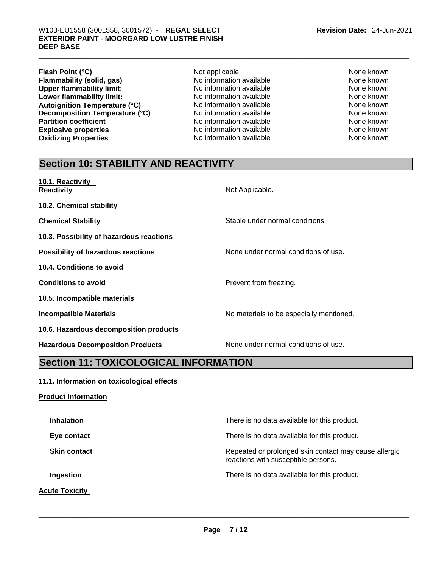- **Flash Point (°C)**<br> **Flammability (solid, gas)** Not applicable Not available None known<br>
Not applicable None Known None known **Flammability (solid, gas)** No information available None Known<br>
None **the Contract Conduct Area Contract** No information available None known<br>
None known **Upper flammability limit:** No information available None known None known **Lower flammability limit:** No information available None known None known **Autoignition Temperature (°C)** No information available None known **Decomposition Temperature (°C)** No information available None known **Partition coefficient**<br> **Explosive properties**<br>
No information available None Known<br>
None known **Explosive properties Oxidizing Properties** No information available None known
	-

# **Section 10: STABILITY AND REACTIVITY**

| 10.1. Reactivity<br><b>Reactivity</b>     | Not Applicable.                          |
|-------------------------------------------|------------------------------------------|
| 10.2. Chemical stability                  |                                          |
| <b>Chemical Stability</b>                 | Stable under normal conditions.          |
| 10.3. Possibility of hazardous reactions  |                                          |
| <b>Possibility of hazardous reactions</b> | None under normal conditions of use.     |
| <b>10.4. Conditions to avoid</b>          |                                          |
| <b>Conditions to avoid</b>                | Prevent from freezing.                   |
| 10.5. Incompatible materials              |                                          |
| <b>Incompatible Materials</b>             | No materials to be especially mentioned. |
| 10.6. Hazardous decomposition products    |                                          |
| <b>Hazardous Decomposition Products</b>   | None under normal conditions of use.     |

# **Section 11: TOXICOLOGICAL INFORMATION**

## **11.1. Information on toxicological effects**

**Product Information**

# **Inhalation Inhalation There is no data available for this product. Eye contact <b>Exercise Exercise Exercise For the Exercise Exercise** There is no data available for this product. **Skin contact <b>Repeated** or prolonged skin contact may cause allergic reactions with susceptible persons. **Ingestion Ingestion Intervalled Example 2** There is no data available for this product. **Acute Toxicity**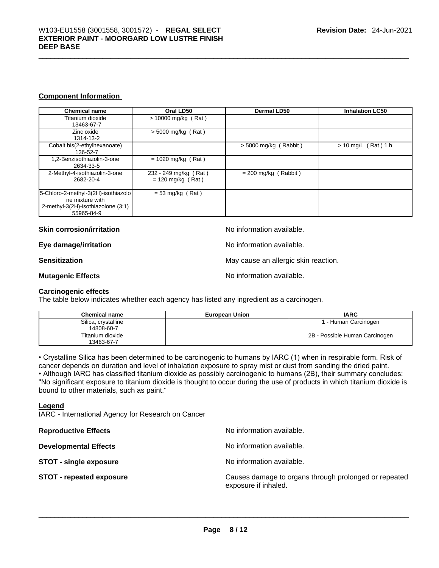### **Component Information**

| <b>Chemical name</b>                                                                                       | Oral LD50                                    | Dermal LD50             | <b>Inhalation LC50</b> |
|------------------------------------------------------------------------------------------------------------|----------------------------------------------|-------------------------|------------------------|
| Titanium dioxide<br>13463-67-7                                                                             | $> 10000$ mg/kg (Rat)                        |                         |                        |
| Zinc oxide<br>1314-13-2                                                                                    | $>$ 5000 mg/kg (Rat)                         |                         |                        |
| Cobalt bis(2-ethylhexanoate)<br>136-52-7                                                                   |                                              | $> 5000$ mg/kg (Rabbit) | $> 10$ mg/L (Rat) 1 h  |
| 1,2-Benzisothiazolin-3-one<br>2634-33-5                                                                    | $= 1020$ mg/kg (Rat)                         |                         |                        |
| 2-Methyl-4-isothiazolin-3-one<br>2682-20-4                                                                 | 232 - 249 mg/kg (Rat)<br>$= 120$ mg/kg (Rat) | $= 200$ mg/kg (Rabbit)  |                        |
| 5-Chloro-2-methyl-3(2H)-isothiazolo<br>ne mixture with<br>2-methyl-3(2H)-isothiazolone (3:1)<br>55965-84-9 | $= 53$ mg/kg (Rat)                           |                         |                        |

### **Skin corrosion/irritation** and  $\blacksquare$  No information available.

**Eye damage/irritation No information available.** 

**Sensitization Sensitization May cause an allergic skin reaction.** 

**Mutagenic Effects Mutagenic Effects No information available.** 

### **Carcinogenic effects**

The table below indicates whether each agency has listed any ingredient as a carcinogen.

| <b>Chemical name</b>              | <b>European Union</b> | <b>IARC</b>                    |
|-----------------------------------|-----------------------|--------------------------------|
| Silica, crystalline<br>14808-60-7 |                       | 1 - Human Carcinogen           |
| Titanium dioxide<br>13463-67-7    |                       | 2B - Possible Human Carcinogen |

• Crystalline Silica has been determined to be carcinogenic to humans by IARC (1) when in respirable form. Risk of cancer depends on duration and level of inhalation exposure to spray mist or dust from sanding the dried paint.• Although IARC has classified titanium dioxide as possibly carcinogenic to humans (2B), their summary concludes: "No significant exposure to titanium dioxide is thought to occur during the use of products in which titanium dioxide is bound to other materials, such as paint."

### **Legend**

IARC - International Agency for Research on Cancer

| <b>Reproductive Effects</b>     | No information available.                                                     |
|---------------------------------|-------------------------------------------------------------------------------|
| <b>Developmental Effects</b>    | No information available.                                                     |
| <b>STOT - single exposure</b>   | No information available.                                                     |
| <b>STOT - repeated exposure</b> | Causes damage to organs through prolonged or repeated<br>exposure if inhaled. |
|                                 |                                                                               |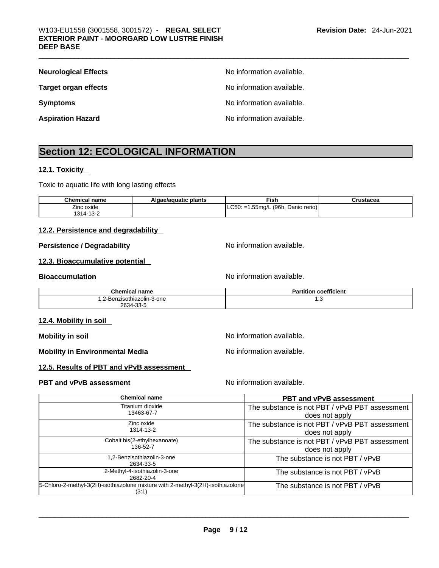| <b>Neurological Effects</b> | No information available. |
|-----------------------------|---------------------------|
| <b>Target organ effects</b> | No information available. |
| <b>Symptoms</b>             | No information available. |
| <b>Aspiration Hazard</b>    | No information available. |

# **Section 12: ECOLOGICAL INFORMATION**

## **12.1. Toxicity**

Toxic to aquatic life with long lasting effects

| <b>Chemical name</b> | Algae/aguatic plants | Fish                                   | Crustacea |
|----------------------|----------------------|----------------------------------------|-----------|
| Zinc oxide           |                      | $ $ LC50: =1.55mg/L (96h, Danio rerio) |           |
| 1314-13-2            |                      |                                        |           |

### **12.2. Persistence and degradability**

### **Persistence / Degradability** No information available.

### **12.3. Bioaccumulative potential**

**Bioaccumulation Bioaccumulation Bioaccumulation** 

| <b>Chemical name</b>       | <b>Partition coefficient</b> |
|----------------------------|------------------------------|
| 1,2-Benzisothiazolin-3-one | ں.،                          |
| 2634-33-5                  |                              |

### **12.4. Mobility in soil**

**Mobility in soil Mobility in soil Mobility in soil** 

**Mobility in Environmental Media** Noinformation available.

**12.5. Results of PBT and vPvB assessment** 

### **PBT** and **vPvB** assessment **Notify Apple 2012** No information available.

| <b>Chemical name</b>                                                                     | <b>PBT and vPvB assessment</b>                 |
|------------------------------------------------------------------------------------------|------------------------------------------------|
| Titanium dioxide                                                                         | The substance is not PBT / vPvB PBT assessment |
| 13463-67-7                                                                               | does not apply                                 |
| Zinc oxide                                                                               | The substance is not PBT / vPvB PBT assessment |
| 1314-13-2                                                                                | does not apply                                 |
| Cobalt bis(2-ethylhexanoate)                                                             | The substance is not PBT / vPvB PBT assessment |
| 136-52-7                                                                                 | does not apply                                 |
| 1.2-Benzisothiazolin-3-one<br>2634-33-5                                                  | The substance is not PBT / vPvB                |
| 2-Methyl-4-isothiazolin-3-one<br>2682-20-4                                               | The substance is not PBT / vPvB                |
| 5-Chloro-2-methyl-3(2H)-isothiazolone mixture with 2-methyl-3(2H)-isothiazolone<br>(3:1) | The substance is not PBT / vPvB                |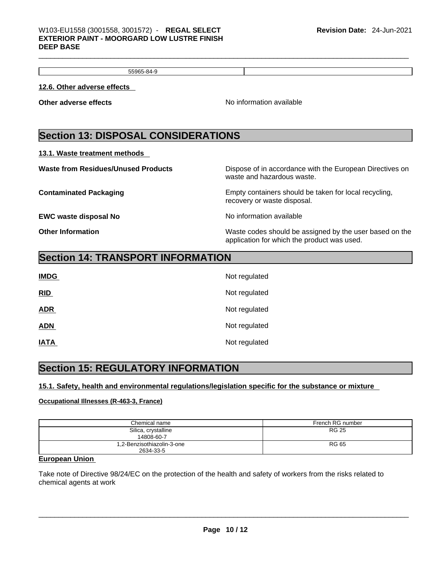55965-84-9

**12.6. Other adverse effects** 

**Other adverse effects No information available Other adverse effects** 

# **Section 13: DISPOSAL CONSIDERATIONS**

**13.1. Waste treatment methods** 

| <b>Waste from Residues/Unused Products</b> | Dispose of in accordance with the European Directives on<br>waste and hazardous waste.                 |
|--------------------------------------------|--------------------------------------------------------------------------------------------------------|
| <b>Contaminated Packaging</b>              | Empty containers should be taken for local recycling,<br>recovery or waste disposal.                   |
| <b>EWC waste disposal No</b>               | No information available                                                                               |
| <b>Other Information</b>                   | Waste codes should be assigned by the user based on the<br>application for which the product was used. |

# **Section 14: TRANSPORT INFORMATION**

| <b>IMDG</b> | Not regulated |
|-------------|---------------|
| RID         | Not regulated |
| <b>ADR</b>  | Not regulated |
| <b>ADN</b>  | Not regulated |
| <b>IATA</b> | Not regulated |

# **Section 15: REGULATORY INFORMATION**

## **15.1. Safety, health and environmental regulations/legislation specific for the substance or mixture**

## **Occupational Illnesses (R-463-3, France)**

| Chemical name                           | French RG number |
|-----------------------------------------|------------------|
| Silica, crystalline<br>14808-60-7       | <b>RG 25</b>     |
| 1,2-Benzisothiazolin-3-one<br>2634-33-5 | <b>RG 65</b>     |

### **European Union**

Take note of Directive 98/24/EC on the protection of the health and safety of workers from the risks related to chemical agents at work \_\_\_\_\_\_\_\_\_\_\_\_\_\_\_\_\_\_\_\_\_\_\_\_\_\_\_\_\_\_\_\_\_\_\_\_\_\_\_\_\_\_\_\_\_\_\_\_\_\_\_\_\_\_\_\_\_\_\_\_\_\_\_\_\_\_\_\_\_\_\_\_\_\_\_\_\_\_\_\_\_\_\_\_\_\_\_\_\_\_\_\_\_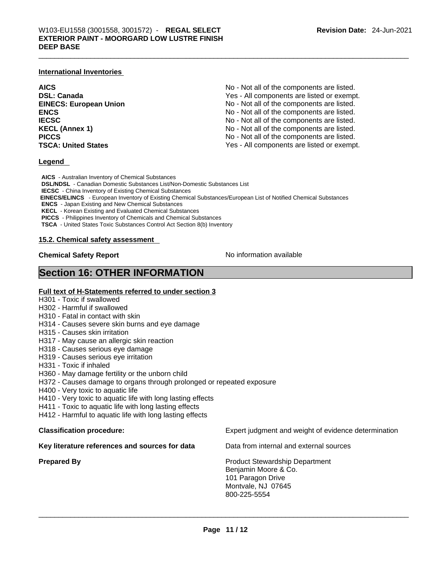### **International Inventories**

| <b>AICS</b>                   | No - Not all of the components are listed. |
|-------------------------------|--------------------------------------------|
| <b>DSL: Canada</b>            | Yes - All components are listed or exempt. |
| <b>EINECS: European Union</b> | No - Not all of the components are listed. |
| <b>ENCS</b>                   | No - Not all of the components are listed. |
| <b>IECSC</b>                  | No - Not all of the components are listed. |
| <b>KECL (Annex 1)</b>         | No - Not all of the components are listed. |
| <b>PICCS</b>                  | No - Not all of the components are listed. |
| <b>TSCA: United States</b>    | Yes - All components are listed or exempt. |

### **Legend**

**AICS** - Australian Inventory of Chemical Substances **DSL/NDSL** - Canadian Domestic Substances List/Non-Domestic Substances List **IECSC** - China Inventory of Existing Chemical Substances  **EINECS/ELINCS** - European Inventory of Existing Chemical Substances/European List of Notified Chemical Substances **ENCS** - Japan Existing and New Chemical Substances **KECL** - Korean Existing and Evaluated Chemical Substances **PICCS** - Philippines Inventory of Chemicals and Chemical Substances **TSCA** - United States Toxic Substances Control Act Section 8(b) Inventory

### **15.2. Chemical safety assessment**

**Chemical Safety Report Chemical Safety Report No information available** 

## **Section 16: OTHER INFORMATION**

### **Full text of H-Statements referred to under section 3**

- H301 Toxic if swallowed
- H302 Harmful if swallowed
- H310 Fatal in contact with skin
- H314 Causes severe skin burns and eye damage
- H315 Causes skin irritation
- H317 May cause an allergic skin reaction
- H318 Causes serious eye damage
- H319 Causes serious eye irritation
- H331 Toxic if inhaled
- H360 May damage fertility or the unborn child
- H372 Causes damage to organs through prolonged or repeated exposure
- H400 Very toxic to aquatic life
- H410 Very toxic to aquatic life with long lasting effects
- H411 Toxic to aquatic life with long lasting effects
- H412 Harmful to aquatic life with long lasting effects

### **Key literature references and sources for data** Data from internal and external sources

**Classification procedure:** Expert judgment and weight of evidence determination

**Prepared By Product Stewardship Department** Benjamin Moore & Co. 101 Paragon Drive Montvale, NJ 07645  $800\text{-}225\text{-}5554$